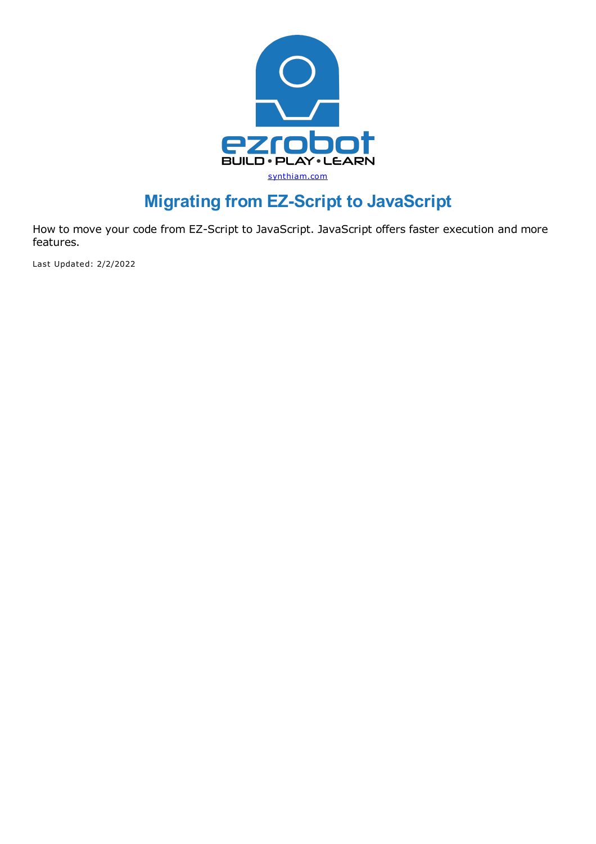

# **Migrating from EZ-Script to JavaScript**

How to move your code from EZ-Script to JavaScript. JavaScript offers faster execution and more features.

Last Updated: 2/2/2022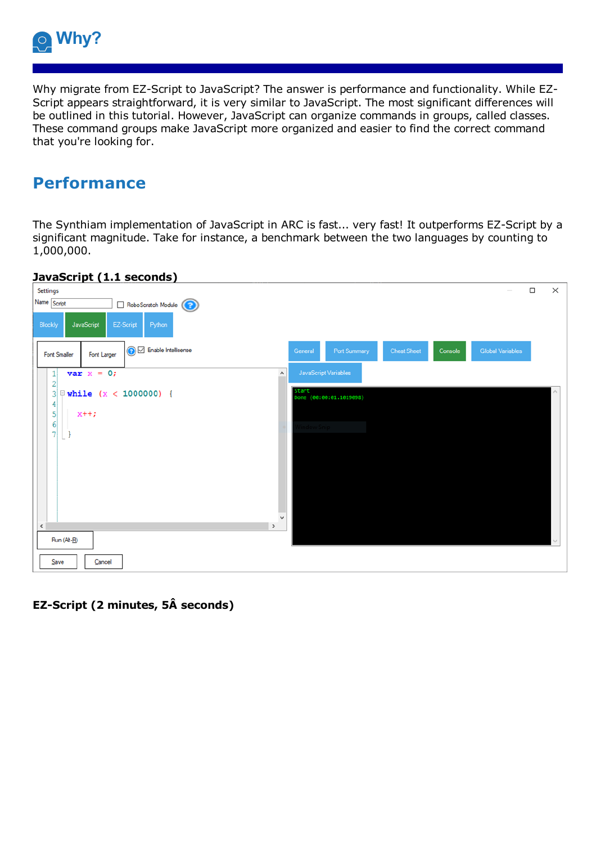

Why migrate from EZ-Script to JavaScript? The answer is performance and functionality. While EZ-Script appears straightforward, it is very similar to JavaScript. The most significant differences will be outlined in this tutorial. However, JavaScript can organize commands in groups, called classes. These command groups make JavaScript more organized and easier to find the correct command that you're looking for.

## **Performance**

The Synthiam implementation of JavaScript in ARC is fast... very fast! It outperforms EZ-Script by a significant magnitude. Take for instance, a benchmark between the two languages by counting to 1,000,000.



### **JavaScript (1.1 seconds)**

### **EZ-Script (2 minutes, 5Â seconds)**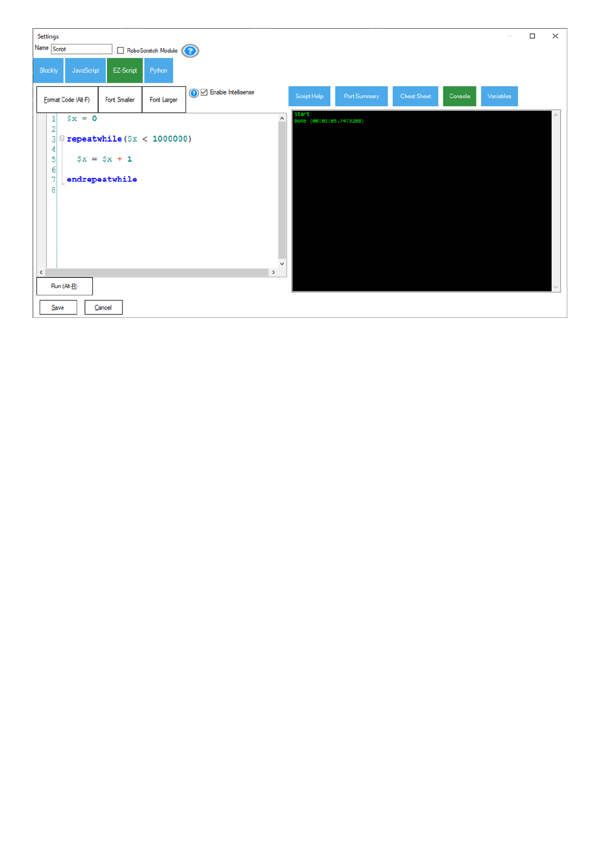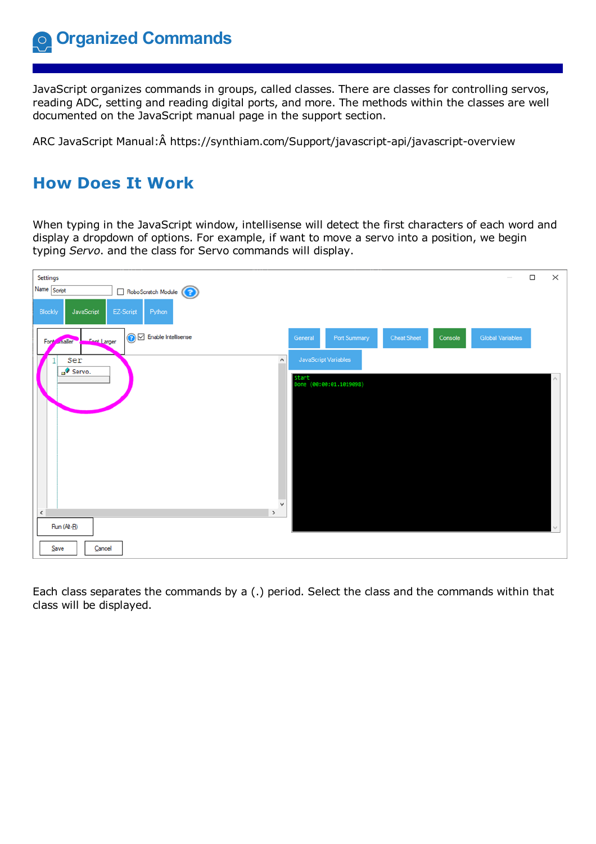JavaScript organizes commands in groups, called classes. There are classes for controlling servos, reading ADC, setting and reading digital ports, and more. The methods within the classes are well documented on the JavaScript manual page in the support section.

ARC JavaScript Manual:Â https://synthiam.com/Support/javascript-api/javascript-overview

# **How Does It Work**

When typing in the JavaScript window, intellisense will detect the first characters of each word and display a dropdown of options. For example, if want to move a servo into a position, we begin typing *Servo*. and the class for Servo commands will display.



Each class separates the commands by a (.) period. Select the class and the commands within that class will be displayed.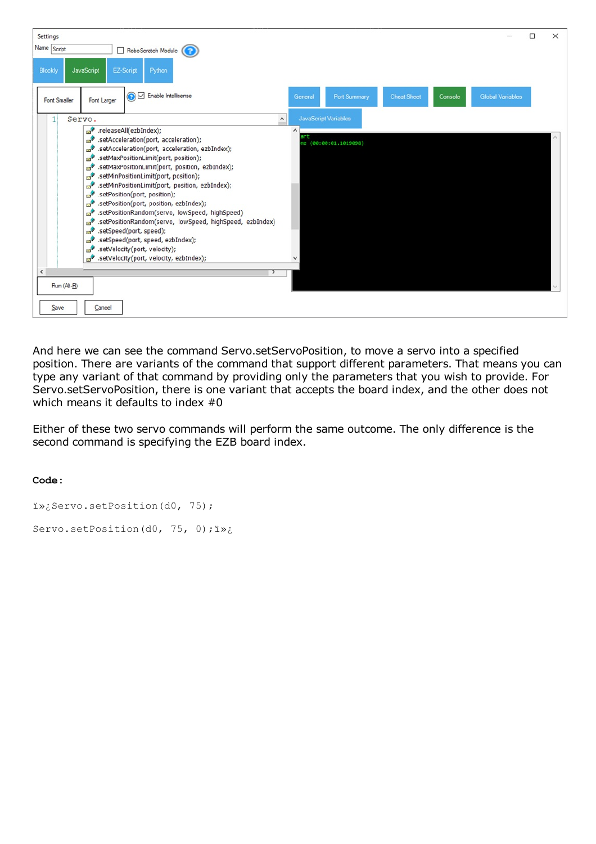

And here we can see the command Servo.setServoPosition, to move a servo into a specified position. There are variants of the command that support different parameters. That means you can type any variant of that command by providing only the parameters that you wish to provide. For Servo.setServoPosition, there is one variant that accepts the board index, and the other does not which means it defaults to index #0

Either of these two servo commands will perform the same outcome. The only difference is the second command is specifying the EZB board index.

```
i»; Servo.setPosition(d0, 75);
Servo.setPosition(d0, 75, 0); i»;
```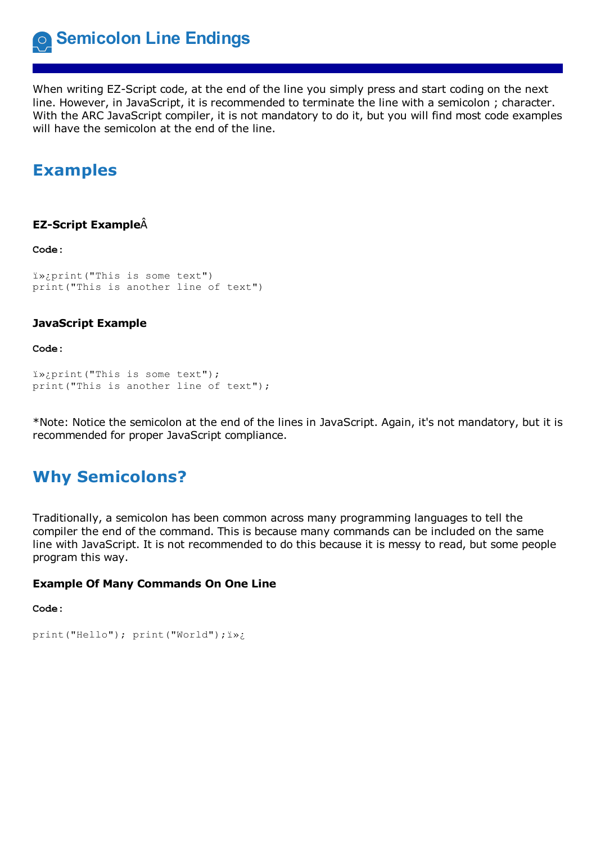**Semicolon Line Endings**

When writing EZ-Script code, at the end of the line you simply press and start coding on the next line. However, in JavaScript, it is recommended to terminate the line with <sup>a</sup> semicolon ; character. With the ARC JavaScript compiler, it is not mandatory to do it, but you will find most code examples will have the semicolon at the end of the line.

## **Examples**

#### **EZ-Script Example**Â

**Code:**

```
print("This is some text")
print("This is another line of text")
```
#### **JavaScript Example**

**Code:**

```
i»; print("This is some text");
print("This is another line of text");
```
\*Note: Notice the semicolon at the end of the lines in JavaScript. Again, it's not mandatory, but it is recommended for proper JavaScript compliance.

# **Why Semicolons?**

Traditionally, a semicolon has been common across many programming languages to tell the compiler the end of the command. This is because many commands can be included on the same line with JavaScript. It is not recommended to do this because it is messy to read, but some people program this way.

#### **Example Of Many Commands On One Line**

```
print("Hello"); print("World");
```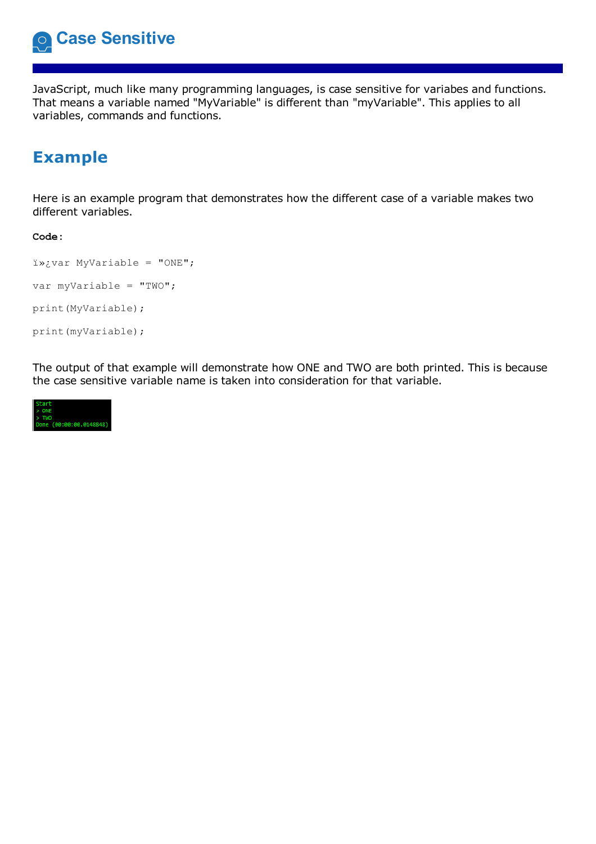

JavaScript, much like many programming languages, is case sensitive for variabes and functions. That means a variable named "MyVariable" is different than "myVariable". This applies to all variables, commands and functions.

# **Example**

Here is an example program that demonstrates how the different case of a variable makes two different variables.

#### **Code:**

```
var MyVariable = "ONE";
var myVariable = "TWO";
print(MyVariable);
print(myVariable);
```
The output of that example will demonstrate how ONE and TWO are both printed. This is because the case sensitive variable name is taken into consideration for that variable.

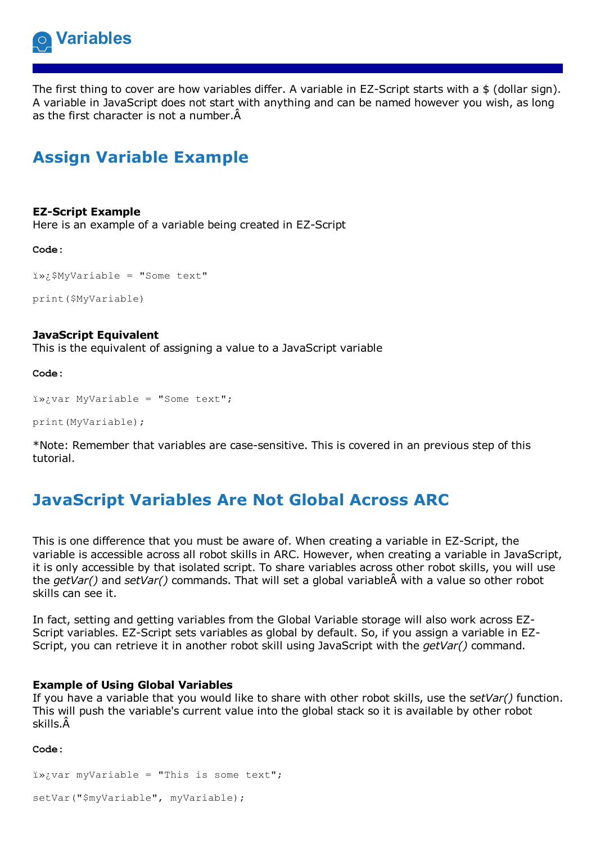

The first thing to cover are how variables differ. A variable in EZ-Script starts with a \$ (dollar sign). A variable in JavaScript does not start with anything and can be named however you wish, as long as the first character is not a number.Â

# **Assign Variable Example**

#### **EZ-Script Example**

Here is an example of a variable being created in EZ-Script

**Code:**

```
i»¿$MyVariable = "Some text"
```
print(\$MyVariable)

#### **JavaScript Equivalent**

This is the equivalent of assigning a value to a JavaScript variable

**Code:**

```
ix:var MyVariable = "Some text";
```
print(MyVariable);

\*Note: Remember that variables are case-sensitive. This is covered in an previous step of this tutorial.

# **JavaScript Variables Are Not Global Across ARC**

This is one difference that you must be aware of. When creating a variable in EZ-Script, the variable is accessible across all robot skills in ARC. However, when creating a variable in JavaScript, it is only accessible by that isolated script. To share variables across other robot skills, you will use the *getVar()* and *setVar()* commands. That will set a global variableÂ with a value so other robot skills can see it.

In fact, setting and getting variables from the Global Variable storage will also work across EZ-Script variables. EZ-Script sets variables as global by default. So, if you assign a variable in EZ-Script, you can retrieve it in another robot skill using JavaScript with the *getVar()* command.

#### **Example of Using Global Variables**

If you have a variable that you would like to share with other robot skills, use the s*etVar()* function. This will push the variable's current value into the global stack so it is available by other robot skills.Â

```
i<sub>x</sub>ivar myVariable = "This is some text";
```

```
setVar("$myVariable", myVariable);
```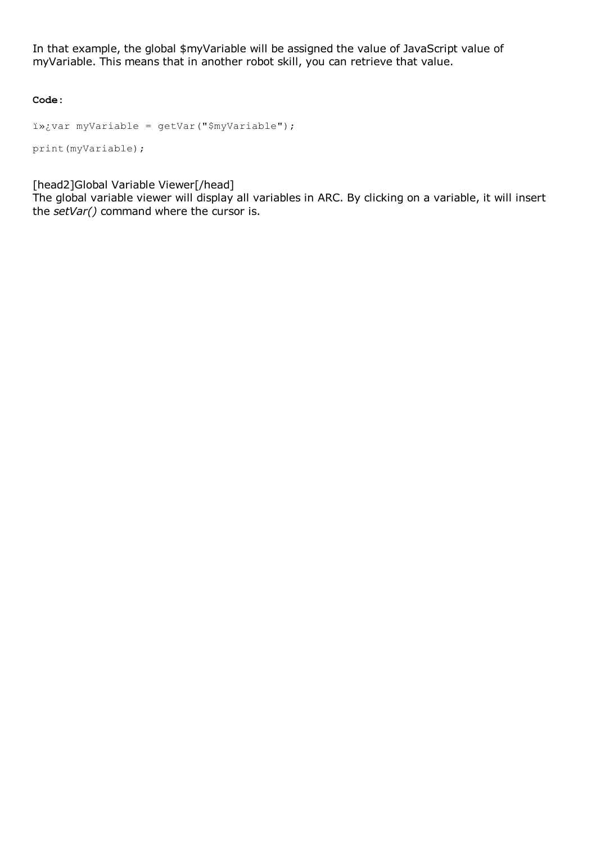In that example, the global \$myVariable will be assigned the value of JavaScript value of myVariable. This means that in another robot skill, you can retrieve that value.

**Code:**

```
var myVariable = getVar("$myVariable");
print(myVariable);
```
[head2]Global Variable Viewer[/head]

The global variable viewer will display all variables in ARC. By clicking on a variable, it will insert the *setVar()* command where the cursor is.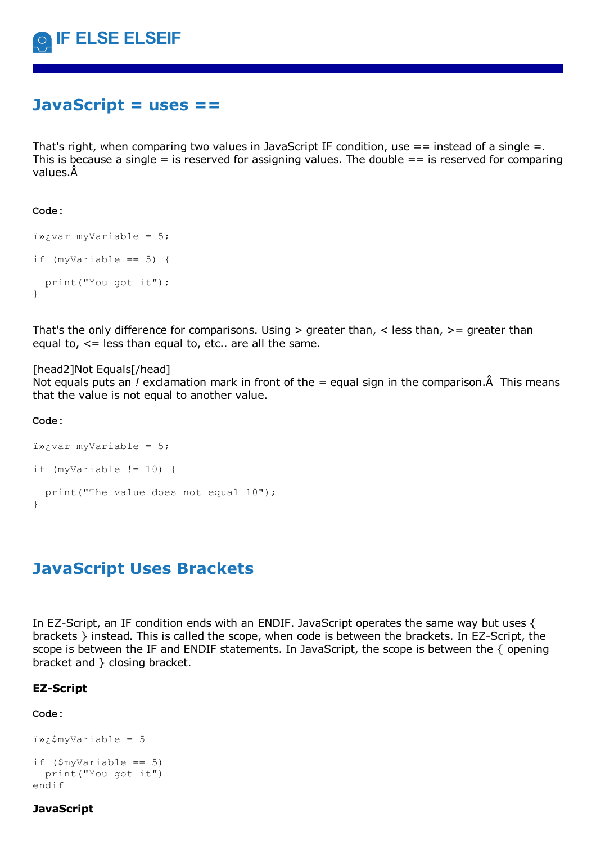## **JavaScript = uses ==**

That's right, when comparing two values in JavaScript IF condition, use  $=$  = instead of a single  $=$ . This is because a single  $=$  is reserved for assigning values. The double  $==$  is reserved for comparing values.Â

#### **Code:**

```
ixyvar myVariable = 5;
if (mvVariable == 5) {
 print("You got it");
}
```
That's the only difference for comparisons. Using  $>$  greater than,  $<$  less than,  $>=$  greater than equal to,  $\leq$  less than equal to, etc.. are all the same.

#### [head2]Not Equals[/head]

Not equals puts an *!* exclamation mark in front of the *=* equal sign in the comparison.Â This means that the value is not equal to another value.

#### **Code:**

```
i»; var myVariable = 5;
if (myVariable != 10) {
  print("The value does not equal 10");
}
```
## **JavaScript Uses Brackets**

In EZ-Script, an IF condition ends with an ENDIF. JavaScript operates the same way but uses { brackets } instead. This is called the scope, when code is between the brackets. In EZ-Script, the scope is between the IF and ENDIF statements. In JavaScript, the scope is between the { opening bracket and } closing bracket.

#### **EZ-Script**

#### **Code:**

```
i \rightarrow i$myVariable = 5
```

```
if ($myVariable == 5)
 print("You got it")
endif
```
#### **JavaScript**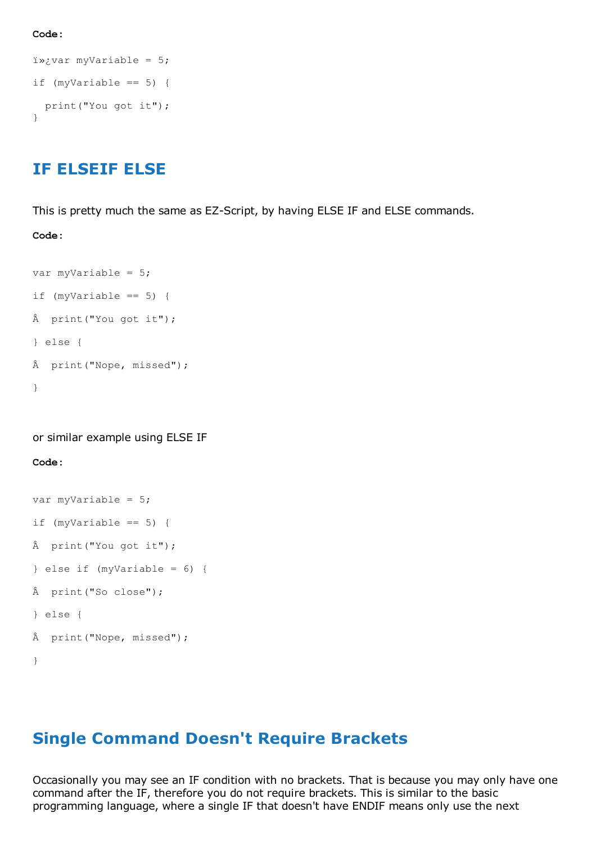**Code:**

```
i \rightarrow jvar myVariable = 5;
if (myVariable == 5) {
  print("You got it");
}
```
### **IF ELSEIF ELSE**

This is pretty much the same as EZ-Script, by having ELSE IF and ELSE commands.

**Code:**

```
var myVariable = 5;
if (myVariable == 5) {
Â print("You got it");
} else {
Â print("Nope, missed");
}
```
or similar example using ELSE IF

#### **Code:**

```
var myVariable = 5;
if (myVariable == 5) {
Â print("You got it");
} else if (myVariable = 6) {
Â print("So close");
} else {
Â print("Nope, missed");
}
```
### **Single Command Doesn't Require Brackets**

Occasionally you may see an IF condition with no brackets. That is because you may only have one command after the IF, therefore you do not require brackets. This is similar to the basic programming language, where a single IF that doesn't have ENDIF means only use the next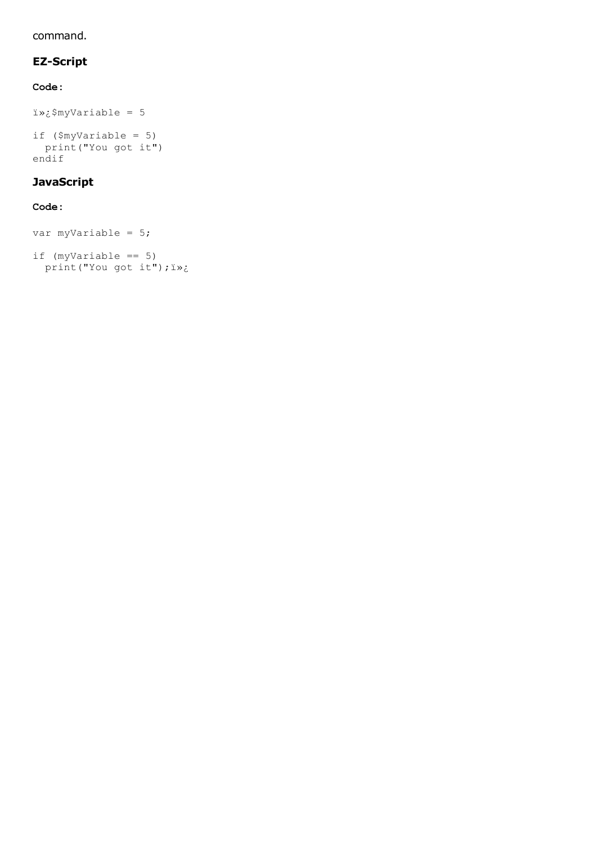#### command.

### **EZ-Script**

### **Code:**

```
$myVariable = 5
if ($myVariable = 5)
print("You got it")
```
#### endif

### **JavaScript**

```
var myVariable = 5;
if (myVariable == 5)print("You got it"); i»;
```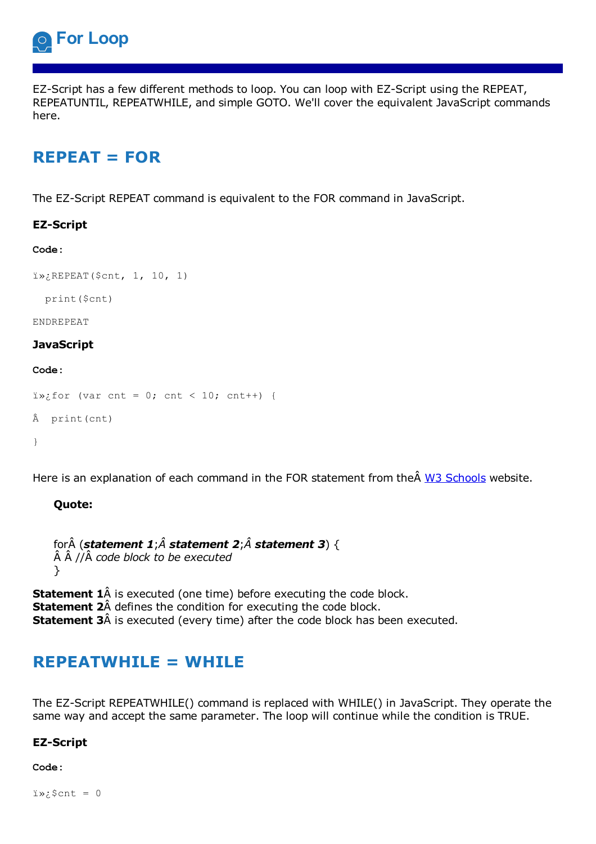

EZ-Script has a few different methods to loop. You can loop with EZ-Script using the REPEAT, REPEATUNTIL, REPEATWHILE, and simple GOTO. We'll cover the equivalent JavaScript commands here.

# **REPEAT = FOR**

The EZ-Script REPEAT command is equivalent to the FOR command in JavaScript.

#### **EZ-Script**

#### **Code:**

```
i<sub>z</sub>; REPEAT($cnt, 1, 10, 1)
```
print(\$cnt)

#### ENDREPEAT

#### **JavaScript**

#### **Code:**

```
i\rightarrow; for (var cnt = 0; cnt < 10; cnt++) {
Â print(cnt)
}
```
Here is an explanation of each command in the FOR statement from the W3 [Schools](https://synthiam.com//www.w3schools.com/js/js_loop_for.asp) website.

#### **Quote:**

```
forÂ (statement 1;Â statement 2;Â statement 3) {
Â Â //Â code block to be executed
}
```
**Statement 1**Å is executed (one time) before executing the code block. **Statement 2**Â defines the condition for executing the code block. **Statement 3**Â is executed (every time) after the code block has been executed.

## **REPEATWHILE = WHILE**

The EZ-Script REPEATWHILE() command is replaced with WHILE() in JavaScript. They operate the same way and accept the same parameter. The loop will continue while the condition is TRUE.

#### **EZ-Script**

**Code:**

 $i \times i$  fract = 0